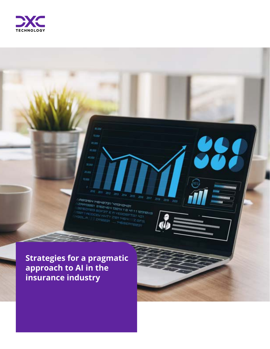

in<br>ZAATSIGH MEHEYSL HASHSHSI<br>SAATSIGE ETGAHSH 1984 

304

 $$100$ 40.00 33 hrs



20<sub>14</sub>  $2011$  *<u>UNUMINIMATE</u>* 

**HERE** 

''''''''''

*<u>HIMMONDIA</u>* 

**Strategies for a pragmatic approach to AI in the insurance industry**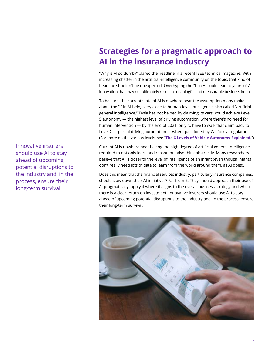# **Strategies for a pragmatic approach to AI in the insurance industry**

"Why is AI so dumb?" blared the headline in a recent IEEE technical magazine. With increasing chatter in the artificial-intelligence community on the topic, that kind of headline shouldn't be unexpected. Overhyping the "I" in AI could lead to years of AI innovation that may not ultimately result in meaningful and measurable business impact.

To be sure, the current state of AI is nowhere near the assumption many make about the "I" in AI being very close to human-level intelligence, also called "artificial general intelligence." Tesla has not helped by claiming its cars would achieve Level 5 autonomy — the highest level of driving automation, where there's no need for human intervention — by the end of 2021, only to have to walk that claim back to Level 2 — partial driving automation — when questioned by California regulators. (For more on the various levels, see "**[The 6 Levels of Vehicle Autonomy Explained.](https://www.synopsys.com/automotive/autonomous-driving-levels.html)**")

Current AI is nowhere near having the high degree of artificial general intelligence required to not only learn and reason but also think abstractly. Many researchers believe that AI is closer to the level of intelligence of an infant (even though infants don't really need lots of data to learn from the world around them, as AI does).

Does this mean that the financial services industry, particularly insurance companies, should slow down their AI initiatives? Far from it. They should approach their use of AI pragmatically: apply it where it aligns to the overall business strategy and where there is a clear return on investment. Innovative insurers should use AI to stay ahead of upcoming potential disruptions to the industry and, in the process, ensure their long-term survival.



Innovative insurers should use AI to stay ahead of upcoming potential disruptions to the industry and, in the process, ensure their long-term survival.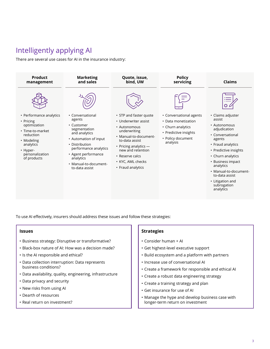# Intelligently applying AI

There are several use cases for AI in the insurance industry:



To use AI effectively, insurers should address these issues and follow these strategies:

- Business strategy: Disruptive or transformative?
- Black-box nature of AI: How was a decision made?
- Is the AI responsible and ethical?
- Data collection interruption: Data represents business conditions?
- Data availability, quality, engineering, infrastructure
- Data privacy and security
- New risks from using AI
- Dearth of resources
- Real return on investment?

#### **Issues Issues Strategies Strategies**

- Consider human + AI
- Get highest-level executive support
- Build ecosystem and a platform with partners
- Increase use of conversational AI
- Create a framework for responsible and ethical AI
- Create a robust data engineering strategy
- Create a training strategy and plan
- Get insurance for use of AI
- Manage the hype and develop business case with longer-term return on investment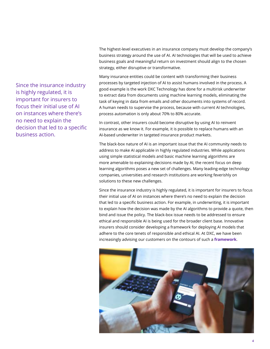Since the insurance industry is highly regulated, it is important for insurers to focus their initial use of AI on instances where there's no need to explain the decision that led to a specific business action.

The highest-level executives in an insurance company must develop the company's business strategy around the use of AI. AI technologies that will be used to achieve business goals and meaningful return on investment should align to the chosen strategy, either disruptive or transformative.

Many insurance entities could be content with transforming their business processes by targeted injection of AI to assist humans involved in the process. A good example is the work DXC Technology has done for a multirisk underwriter to extract data from documents using machine learning models, eliminating the task of keying in data from emails and other documents into systems of record. A human needs to supervise the process, because with current AI technologies, process automation is only about 70% to 80% accurate.

In contrast, other insurers could become disruptive by using AI to reinvent insurance as we know it. For example, it is possible to replace humans with an AI-based underwriter in targeted insurance product markets.

The black-box nature of AI is an important issue that the AI community needs to address to make AI applicable in highly regulated industries. While applications using simple statistical models and basic machine learning algorithms are more amenable to explaining decisions made by AI, the recent focus on deep learning algorithms poses a new set of challenges. Many leading-edge technology companies, universities and research institutions are working feverishly on solutions to these new challenges.

Since the insurance industry is highly regulated, it is important for insurers to focus their initial use of AI on instances where there's no need to explain the decision that led to a specific business action. For example, in underwriting, it is important to explain how the decision was made by the AI algorithms to provide a quote, then bind and issue the policy. The black-box issue needs to be addressed to ensure ethical and responsible AI is being used for the broader client base. Innovative insurers should consider developing a framework for deploying AI models that adhere to the core tenets of responsible and ethical AI. At DXC, we have been increasingly advising our customers on the contours of such a **[framework](https://www.luxoft.com/financial-crimes-intelligence/)**.

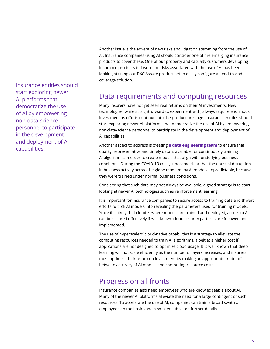Insurance entities should start exploring newer AI platforms that democratize the use of AI by empowering non-data-science personnel to participate in the development and deployment of AI capabilities.

Another issue is the advent of new risks and litigation stemming from the use of AI. Insurance companies using AI should consider one of the emerging insurance products to cover these. One of our property and casualty customers developing insurance products to insure the risks associated with the use of AI has been looking at using our DXC Assure product set to easily configure an end-to-end coverage solution.

## Data requirements and computing resources

Many insurers have not yet seen real returns on their AI investments. New technologies, while straightforward to experiment with, always require enormous investment as efforts continue into the production stage. Insurance entities should start exploring newer AI platforms that democratize the use of AI by empowering non-data-science personnel to participate in the development and deployment of AI capabilities.

Another aspect to address is creating **[a data engineering team](https://dxc.com/us/en/insights/perspectives/paper/how-to-future-proof-machine-learning-operations)** to ensure that quality, representative and timely data is available for continuously training AI algorithms, in order to create models that align with underlying business conditions. During the COVID-19 crisis, it became clear that the unusual disruption in business activity across the globe made many AI models unpredictable, because they were trained under normal business conditions.

Considering that such data may not always be available, a good strategy is to start looking at newer AI technologies such as reinforcement learning.

It is important for insurance companies to secure access to training data and thwart efforts to trick AI models into revealing the parameters used for training models. Since it is likely that cloud is where models are trained and deployed, access to AI can be secured effectively if well-known cloud security patterns are followed and implemented.

The use of hyperscalers' cloud-native capabilities is a strategy to alleviate the computing resources needed to train AI algorithms, albeit at a higher cost if applications are not designed to optimize cloud usage. It is well known that deep learning will not scale efficiently as the number of layers increases, and insurers must optimize their return on investment by making an appropriate trade-off between accuracy of AI models and computing-resource costs.

## Progress on all fronts

Insurance companies also need employees who are knowledgeable about AI. Many of the newer AI platforms alleviate the need for a large contingent of such resources. To accelerate the use of AI, companies can train a broad swath of employees on the basics and a smaller subset on further details.